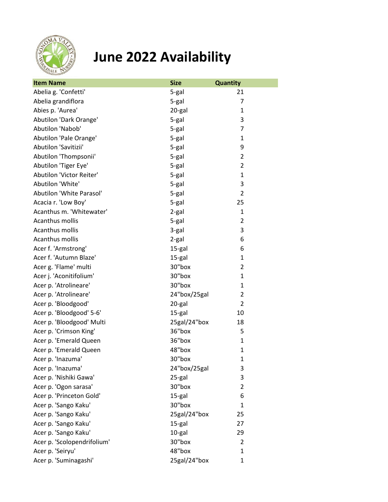

## **June 2022 Availability**

| <b>Item Name</b>            | <b>Size</b>  | <b>Quantity</b> |
|-----------------------------|--------------|-----------------|
| Abelia g. 'Confetti'        | 5-gal        | 21              |
| Abelia grandiflora          | 5-gal        | 7               |
| Abies p. 'Aurea'            | 20-gal       | 1               |
| Abutilon 'Dark Orange'      | 5-gal        | 3               |
| Abutilon 'Nabob'            | 5-gal        | $\overline{7}$  |
| Abutilon 'Pale Orange'      | 5-gal        | 1               |
| Abutilon 'Savitizii'        | 5-gal        | 9               |
| Abutilon 'Thompsonii'       | 5-gal        | $\overline{2}$  |
| Abutilon 'Tiger Eye'        | 5-gal        | 2               |
| Abutilon 'Victor Reiter'    | 5-gal        | $\mathbf{1}$    |
| Abutilon 'White'            | 5-gal        | 3               |
| Abutilon 'White Parasol'    | 5-gal        | $\overline{2}$  |
| Acacia r. 'Low Boy'         | 5-gal        | 25              |
| Acanthus m. 'Whitewater'    | 2-gal        | 1               |
| Acanthus mollis             | 5-gal        | $\overline{2}$  |
| Acanthus mollis             | 3-gal        | 3               |
| Acanthus mollis             | 2-gal        | 6               |
| Acer f. 'Armstrong'         | 15-gal       | 6               |
| Acer f. 'Autumn Blaze'      | 15-gal       | 1               |
| Acer g. 'Flame' multi       | 30"box       | $\overline{2}$  |
| Acer j. 'Aconitifolium'     | 30"box       | 1               |
| Acer p. 'Atrolineare'       | 30"box       | 1               |
| Acer p. 'Atrolineare'       | 24"box/25gal | $\overline{2}$  |
| Acer p. 'Bloodgood'         | 20-gal       | $\overline{2}$  |
| Acer p. 'Bloodgood' 5-6'    | 15-gal       | 10              |
| Acer p. 'Bloodgood' Multi   | 25gal/24"box | 18              |
| Acer p. 'Crimson King'      | 36"box       | 5               |
| Acer p. 'Emerald Queen      | 36"box       | 1               |
| Acer p. 'Emerald Queen      | 48"box       | $\mathbf{1}$    |
| Acer p. 'Inazuma'           | 30"box       | $\mathbf{1}$    |
| Acer p. 'Inazuma'           | 24"box/25gal | 3               |
| Acer p. 'Nishiki Gawa'      | 25-gal       | 3               |
| Acer p. 'Ogon sarasa'       | 30"box       | 2               |
| Acer p. 'Princeton Gold'    | 15-gal       | 6               |
| Acer p. 'Sango Kaku'        | 30"box       | $\mathbf{1}$    |
| Acer p. 'Sango Kaku'        | 25gal/24"box | 25              |
| Acer p. 'Sango Kaku'        | 15-gal       | 27              |
| Acer p. 'Sango Kaku'        | 10-gal       | 29              |
| Acer p. 'Scolopendrifolium' | 30"box       | $\overline{2}$  |
| Acer p. 'Seiryu'            | 48"box       | 1               |
| Acer p. 'Suminagashi'       | 25gal/24"box | 1               |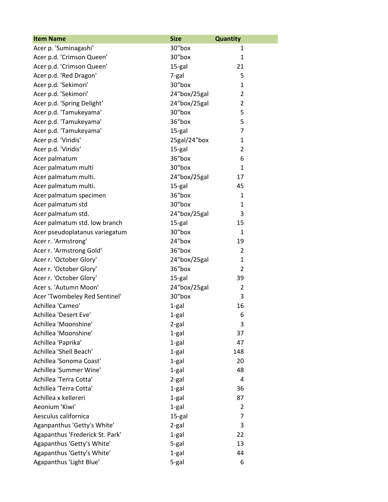| <b>Item Name</b>                | <b>Size</b>  | <b>Quantity</b> |
|---------------------------------|--------------|-----------------|
| Acer p. 'Suminagashi'           | 30"box       | 1               |
| Acer p.d. 'Crimson Queen'       | 30"box       | $\mathbf{1}$    |
| Acer p.d. 'Crimson Queen'       | 15-gal       | 21              |
| Acer p.d. 'Red Dragon'          | 7-gal        | 5               |
| Acer p.d. 'Sekimori'            | 30"box       | 1               |
| Acer p.d. 'Sekimori'            | 24"box/25gal | $\overline{2}$  |
| Acer p.d. 'Spring Delight'      | 24"box/25gal | 2               |
| Acer p.d. 'Tamukeyama'          | 30"box       | 5               |
| Acer p.d. 'Tamukeyama'          | 36"box       | 5               |
| Acer p.d. 'Tamukeyama'          | 15-gal       | $\overline{7}$  |
| Acer p.d. 'Viridis'             | 25gal/24"box | 1               |
| Acer p.d. 'Viridis'             | 15-gal       | $\overline{2}$  |
| Acer palmatum                   | 36"box       | 6               |
| Acer palmatum multi             | 30"box       | $\mathbf{1}$    |
| Acer palmatum multi.            | 24"box/25gal | 17              |
| Acer palmatum multi.            | 15-gal       | 45              |
| Acer palmatum specimen          | 36"box       | $\mathbf{1}$    |
| Acer palmatum std               | 30"box       | 1               |
| Acer palmatum std.              | 24"box/25gal | 3               |
| Acer palmatum std. low branch   | 15-gal       | 15              |
| Acer pseudoplatanus variegatum  | 30"box       | 1               |
| Acer r. 'Armstrong'             | 24"box       | 19              |
| Acer r. 'Armstrong Gold'        | 36"box       | 2               |
| Acer r. 'October Glory'         | 24"box/25gal | 1               |
| Acer r. 'October Glory'         | 36"box       | $\overline{2}$  |
| Acer r. 'October Glory'         | 15-gal       | 39              |
| Acer s. 'Autumn Moon'           | 24"box/25gal | 2               |
| Acer 'Twombeley Red Sentinel'   | 30"box       | 3               |
| Achillea 'Cameo'                | $1-gal$      | 16              |
| Achillea 'Desert Eve'           | 1-gal        | 6               |
| Achillea 'Moonshine'            | 2-gal        | 3               |
| Achillea 'Moonshine'            | 1-gal        | 37              |
| Achillea 'Paprika'              | 1-gal        | 47              |
| Achillea 'Shell Beach'          | 1-gal        | 148             |
| Achillea 'Sonoma Coast'         | 1-gal        | 20              |
| Achillea 'Summer Wine'          | $1-gal$      | 48              |
| Achillea 'Terra Cotta'          | 2-gal        | 4               |
| Achillea 'Terra Cotta'          | 1-gal        | 36              |
| Achillea x kellereri            | 1-gal        | 87              |
| Aeonium 'Kiwi'                  | 1-gal        | 2               |
| Aesculus californica            | 15-gal       | $\overline{7}$  |
| Aganpanthus 'Getty's White'     | 2-gal        | 3               |
| Agapanthus 'Frederick St. Park' | 1-gal        | 22              |
| Agapanthus 'Getty's White'      | 5-gal        | 13              |
| Agapanthus 'Getty's White'      | 1-gal        | 44              |
| Agapanthus 'Light Blue'         | 5-gal        | 6               |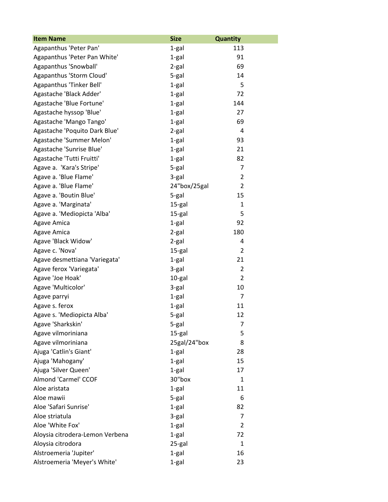| <b>Item Name</b>                | <b>Size</b>  | Quantity       |
|---------------------------------|--------------|----------------|
| Agapanthus 'Peter Pan'          | 1-gal        | 113            |
| Agapanthus 'Peter Pan White'    | 1-gal        | 91             |
| Agapanthus 'Snowball'           | 2-gal        | 69             |
| Agapanthus 'Storm Cloud'        | 5-gal        | 14             |
| Agapanthus 'Tinker Bell'        | 1-gal        | 5              |
| Agastache 'Black Adder'         | 1-gal        | 72             |
| Agastache 'Blue Fortune'        | 1-gal        | 144            |
| Agastache hyssop 'Blue'         | 1-gal        | 27             |
| Agastache 'Mango Tango'         | 1-gal        | 69             |
| Agastache 'Poquito Dark Blue'   | 2-gal        | 4              |
| Agastache 'Summer Melon'        | 1-gal        | 93             |
| Agastache 'Sunrise Blue'        | 1-gal        | 21             |
| Agastache 'Tutti Fruitti'       | 1-gal        | 82             |
| Agave a. 'Kara's Stripe'        | 5-gal        | 7              |
| Agave a. 'Blue Flame'           | 3-gal        | $\overline{2}$ |
| Agave a. 'Blue Flame'           | 24"box/25gal | $\overline{2}$ |
| Agave a. 'Boutin Blue'          | 5-gal        | 15             |
| Agave a. 'Marginata'            | 15-gal       | 1              |
| Agave a. 'Mediopicta 'Alba'     | 15-gal       | 5              |
| <b>Agave Amica</b>              | 1-gal        | 92             |
| Agave Amica                     | 2-gal        | 180            |
| Agave 'Black Widow'             | 2-gal        | 4              |
| Agave c. 'Nova'                 | 15-gal       | $\overline{2}$ |
| Agave desmettiana 'Variegata'   | 1-gal        | 21             |
| Agave ferox 'Variegata'         | 3-gal        | $\overline{2}$ |
| Agave 'Joe Hoak'                | 10-gal       | $\overline{2}$ |
| Agave 'Multicolor'              | 3-gal        | 10             |
| Agave parryi                    | 1-gal        | $\overline{7}$ |
| Agave s. ferox                  | 1-gal        | 11             |
| Agave s. 'Mediopicta Alba'      | 5-gal        | 12             |
| Agave 'Sharkskin'               | 5-gal        | 7              |
| Agave vilmoriniana              | 15-gal       | 5              |
| Agave vilmoriniana              | 25gal/24"box | 8              |
| Ajuga 'Catlin's Giant'          | $1-gal$      | 28             |
| Ajuga 'Mahogany'                | $1-gal$      | 15             |
| Ajuga 'Silver Queen'            | $1-gal$      | 17             |
| Almond 'Carmel' CCOF            | 30"box       | $\mathbf{1}$   |
| Aloe aristata                   | 1-gal        | 11             |
| Aloe mawii                      | 5-gal        | 6              |
| Aloe 'Safari Sunrise'           | $1-gal$      | 82             |
| Aloe striatula                  | 3-gal        | $\overline{7}$ |
| Aloe 'White Fox'                | 1-gal        | $\overline{2}$ |
| Aloysia citrodera-Lemon Verbena | $1-gal$      | 72             |
| Aloysia citrodora               | 25-gal       | 1              |
| Alstroemeria 'Jupiter'          | 1-gal        | 16             |
| Alstroemeria 'Meyer's White'    | 1-gal        | 23             |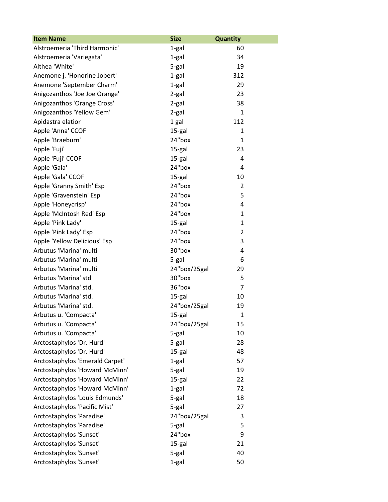| <b>Item Name</b>                | <b>Size</b>  | <b>Quantity</b> |
|---------------------------------|--------------|-----------------|
| Alstroemeria 'Third Harmonic'   | 1-gal        | 60              |
| Alstroemeria 'Variegata'        | 1-gal        | 34              |
| Althea 'White'                  | 5-gal        | 19              |
| Anemone j. 'Honorine Jobert'    | 1-gal        | 312             |
| Anemone 'September Charm'       | 1-gal        | 29              |
| Anigozanthos 'Joe Joe Orange'   | 2-gal        | 23              |
| Anigozanthos 'Orange Cross'     | 2-gal        | 38              |
| Anigozanthos 'Yellow Gem'       | 2-gal        | $\mathbf{1}$    |
| Apidastra elatior               | 1 gal        | 112             |
| Apple 'Anna' CCOF               | 15-gal       | 1               |
| Apple 'Braeburn'                | 24"box       | 1               |
| Apple 'Fuji'                    | 15-gal       | 23              |
| Apple 'Fuji' CCOF               | 15-gal       | 4               |
| Apple 'Gala'                    | 24"box       | 4               |
| Apple 'Gala' CCOF               | 15-gal       | 10              |
| Apple 'Granny Smith' Esp        | 24"box       | $\overline{2}$  |
| Apple 'Gravenstein' Esp         | 24"box       | 5               |
| Apple 'Honeycrisp'              | 24"box       | 4               |
| Apple 'McIntosh Red' Esp        | 24"box       | 1               |
| Apple 'Pink Lady'               | 15-gal       | $\mathbf{1}$    |
| Apple 'Pink Lady' Esp           | 24"box       | $\overline{2}$  |
| Apple 'Yellow Delicious' Esp    | 24"box       | 3               |
| Arbutus 'Marina' multi          | 30"box       | 4               |
| Arbutus 'Marina' multi          | 5-gal        | 6               |
| Arbutus 'Marina' multi          | 24"box/25gal | 29              |
| Arbutus 'Marina' std            | 30"box       | 5               |
| Arbutus 'Marina' std.           | 36"box       | 7               |
| Arbutus 'Marina' std.           | 15-gal       | 10              |
| Arbutus 'Marina' std.           | 24"box/25gal | 19              |
| Arbutus u. 'Compacta'           | 15-gal       | 1               |
| Arbutus u. 'Compacta'           | 24"box/25gal | 15              |
| Arbutus u. 'Compacta'           | 5-gal        | 10              |
| Arctostaphylos 'Dr. Hurd'       | 5-gal        | 28              |
| Arctostaphylos 'Dr. Hurd'       | 15-gal       | 48              |
| Arctostaphylos 'Emerald Carpet' | 1-gal        | 57              |
| Arctostaphylos 'Howard McMinn'  | 5-gal        | 19              |
| Arctostaphylos 'Howard McMinn'  | 15-gal       | 22              |
| Arctostaphylos 'Howard McMinn'  | 1-gal        | 72              |
| Arctostaphylos 'Louis Edmunds'  | 5-gal        | 18              |
| Arctostaphylos 'Pacific Mist'   | 5-gal        | 27              |
| Arctostaphylos 'Paradise'       | 24"box/25gal | 3               |
| Arctostaphylos 'Paradise'       | 5-gal        | 5               |
| Arctostaphylos 'Sunset'         | 24"box       | 9               |
| Arctostaphylos 'Sunset'         | 15-gal       | 21              |
| Arctostaphylos 'Sunset'         | 5-gal        | 40              |
| Arctostaphylos 'Sunset'         | 1-gal        | 50              |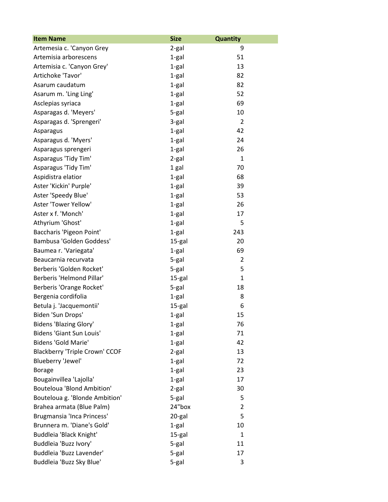| <b>Item Name</b>                      | <b>Size</b> | Quantity       |
|---------------------------------------|-------------|----------------|
| Artemesia c. 'Canyon Grey             | 2-gal       | 9              |
| Artemisia arborescens                 | 1-gal       | 51             |
| Artemisia c. 'Canyon Grey'            | $1-gal$     | 13             |
| Artichoke 'Tavor'                     | $1-gal$     | 82             |
| Asarum caudatum                       | $1-gal$     | 82             |
| Asarum m. 'Ling Ling'                 | 1-gal       | 52             |
| Asclepias syriaca                     | $1-gal$     | 69             |
| Asparagas d. 'Meyers'                 | 5-gal       | 10             |
| Asparagas d. 'Sprengeri'              | 3-gal       | $\overline{2}$ |
| Asparagus                             | $1-gal$     | 42             |
| Asparagus d. 'Myers'                  | 1-gal       | 24             |
| Asparagus sprengeri                   | $1-gal$     | 26             |
| Asparagus 'Tidy Tim'                  | 2-gal       | 1              |
| Asparagus 'Tidy Tim'                  | 1 gal       | 70             |
| Aspidistra elatior                    | $1-gal$     | 68             |
| Aster 'Kickin' Purple'                | 1-gal       | 39             |
| Aster 'Speedy Blue'                   | $1-gal$     | 53             |
| Aster 'Tower Yellow'                  | $1-gal$     | 26             |
| Aster x f. 'Monch'                    | 1-gal       | 17             |
| Athyrium 'Ghost'                      | 1-gal       | 5              |
| Baccharis 'Pigeon Point'              | $1-gal$     | 243            |
| Bambusa 'Golden Goddess'              | 15-gal      | 20             |
| Baumea r. 'Variegata'                 | $1-gal$     | 69             |
| Beaucarnia recurvata                  | 5-gal       | $\overline{2}$ |
| Berberis 'Golden Rocket'              | 5-gal       | 5              |
| Berberis 'Helmond Pillar'             | 15-gal      | $\mathbf{1}$   |
| Berberis 'Orange Rocket'              | 5-gal       | 18             |
| Bergenia cordifolia                   | 1-gal       | 8              |
| Betula j. 'Jacquemontii'              | 15-gal      | 6              |
| Biden 'Sun Drops'                     | 1-gal       | 15             |
| <b>Bidens 'Blazing Glory'</b>         | 1-gal       | 76             |
| <b>Bidens 'Giant Sun Louis'</b>       | 1-gal       | 71             |
| <b>Bidens 'Gold Marie'</b>            | 1-gal       | 42             |
| <b>Blackberry 'Triple Crown' CCOF</b> | $2-gal$     | 13             |
| Blueberry 'Jewel'                     | $1-gal$     | 72             |
| <b>Borage</b>                         | $1-gal$     | 23             |
| Bougainvillea 'Lajolla'               | 1-gal       | 17             |
| <b>Bouteloua 'Blond Ambition'</b>     | 2-gal       | 30             |
| Bouteloua g. 'Blonde Ambition'        | 5-gal       | 5              |
| Brahea armata (Blue Palm)             | 24"box      | $\overline{2}$ |
| Brugmansia 'Inca Princess'            | 20-gal      | 5              |
| Brunnera m. 'Diane's Gold'            | $1-gal$     | 10             |
| Buddleia 'Black Knight'               | 15-gal      | 1              |
| Buddleia 'Buzz Ivory'                 | 5-gal       | 11             |
| Buddleia 'Buzz Lavender'              | 5-gal       | 17             |
| Buddleia 'Buzz Sky Blue'              | 5-gal       | 3              |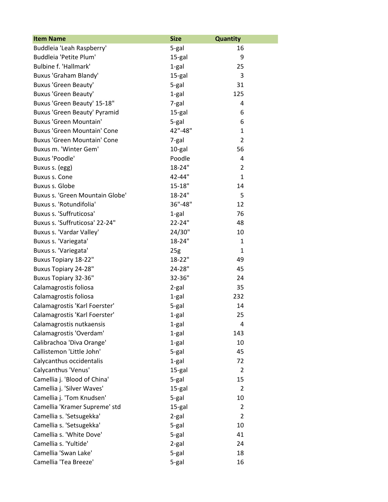| <b>Item Name</b>                   | <b>Size</b>     | <b>Quantity</b> |
|------------------------------------|-----------------|-----------------|
| Buddleia 'Leah Raspberry'          | 5-gal           | 16              |
| Buddleia 'Petite Plum'             | 15-gal          | 9               |
| Bulbine f. 'Hallmark'              | $1-gal$         | 25              |
| Buxus 'Graham Blandy'              | 15-gal          | 3               |
| <b>Buxus 'Green Beauty'</b>        | 5-gal           | 31              |
| <b>Buxus 'Green Beauty'</b>        | $1-gal$         | 125             |
| Buxus 'Green Beauty' 15-18"        | 7-gal           | 4               |
| Buxus 'Green Beauty' Pyramid       | 15-gal          | 6               |
| Buxus 'Green Mountain'             | 5-gal           | 6               |
| <b>Buxus 'Green Mountain' Cone</b> | 42"-48"         | $\mathbf{1}$    |
| <b>Buxus 'Green Mountain' Cone</b> | 7-gal           | $\overline{2}$  |
| Buxus m. 'Winter Gem'              | 10-gal          | 56              |
| <b>Buxus 'Poodle'</b>              | Poodle          | 4               |
| Buxus s. (egg)                     | 18-24"          | $\overline{2}$  |
| <b>Buxus s. Cone</b>               | 42-44"          | $\mathbf{1}$    |
| Buxus s. Globe                     | $15 - 18"$      | 14              |
| Buxus s. 'Green Mountain Globe'    | 18-24"          | 5               |
| Buxus s. 'Rotundifolia'            | 36"-48"         | 12              |
| Buxus s. 'Suffruticosa'            | 1-gal           | 76              |
| Buxus s. 'Suffruticosa' 22-24"     | 22-24"          | 48              |
| Buxus s. 'Vardar Valley'           | 24/30"          | 10              |
| Buxus s. 'Variegata'               | 18-24"          | 1               |
| Buxus s. 'Variegata'               | 25 <sub>g</sub> | $\mathbf{1}$    |
| Buxus Topiary 18-22"               | 18-22"          | 49              |
| <b>Buxus Topiary 24-28"</b>        | 24-28"          | 45              |
| <b>Buxus Topiary 32-36"</b>        | 32-36"          | 24              |
| Calamagrostis foliosa              | 2-gal           | 35              |
| Calamagrostis foliosa              | 1-gal           | 232             |
| Calamagrostis 'Karl Foerster'      | 5-gal           | 14              |
| Calamagrostis 'Karl Foerster'      | $1-gal$         | 25              |
| Calamagrostis nutkaensis           | 1-gal           | 4               |
| Calamagrostis 'Overdam'            | $1-gal$         | 143             |
| Calibrachoa 'Diva Orange'          | 1-gal           | 10              |
| Callistemon 'Little John'          | 5-gal           | 45              |
| Calycanthus occidentalis           | $1-gal$         | 72              |
| Calycanthus 'Venus'                | 15-gal          | $\overline{2}$  |
| Camellia j. 'Blood of China'       | 5-gal           | 15              |
| Camellia j. 'Silver Waves'         | 15-gal          | $\overline{2}$  |
| Camellia j. 'Tom Knudsen'          | 5-gal           | 10              |
| Camellia 'Kramer Supreme' std      | 15-gal          | 2               |
| Camellia s. 'Setsugekka'           | 2-gal           | $\overline{2}$  |
| Camellia s. 'Setsugekka'           | 5-gal           | 10              |
| Camellia s. 'White Dove'           | 5-gal           | 41              |
| Camellia s. 'Yultide'              | 2-gal           | 24              |
| Camellia 'Swan Lake'               | 5-gal           | 18              |
| Camellia 'Tea Breeze'              | 5-gal           | 16              |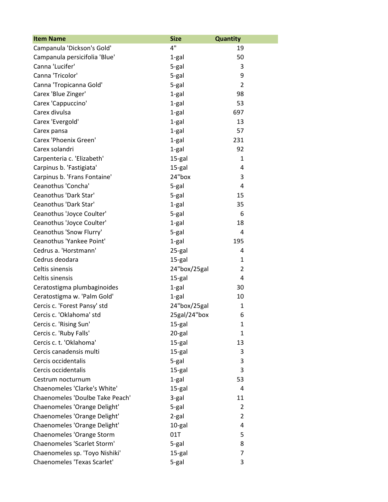| <b>Item Name</b>                | <b>Size</b>  | Quantity       |
|---------------------------------|--------------|----------------|
| Campanula 'Dickson's Gold'      | 4"           | 19             |
| Campanula persicifolia 'Blue'   | 1-gal        | 50             |
| Canna 'Lucifer'                 | 5-gal        | 3              |
| Canna 'Tricolor'                | 5-gal        | 9              |
| Canna 'Tropicanna Gold'         | 5-gal        | $\overline{2}$ |
| Carex 'Blue Zinger'             | $1-gal$      | 98             |
| Carex 'Cappuccino'              | 1-gal        | 53             |
| Carex divulsa                   | 1-gal        | 697            |
| Carex 'Evergold'                | 1-gal        | 13             |
| Carex pansa                     | 1-gal        | 57             |
| Carex 'Phoenix Green'           | 1-gal        | 231            |
| Carex solandri                  | 1-gal        | 92             |
| Carpenteria c. 'Elizabeth'      | 15-gal       | 1              |
| Carpinus b. 'Fastigiata'        | 15-gal       | 4              |
| Carpinus b. 'Frans Fontaine'    | 24"box       | 3              |
| Ceanothus 'Concha'              | 5-gal        | 4              |
| Ceanothus 'Dark Star'           | 5-gal        | 15             |
| Ceanothus 'Dark Star'           | $1-gal$      | 35             |
| Ceanothus 'Joyce Coulter'       | 5-gal        | 6              |
| Ceanothus 'Joyce Coulter'       | 1-gal        | 18             |
| Ceanothus 'Snow Flurry'         | 5-gal        | 4              |
| Ceanothus 'Yankee Point'        | 1-gal        | 195            |
| Cedrus a. 'Horstmann'           | 25-gal       | 4              |
| Cedrus deodara                  | 15-gal       | 1              |
| Celtis sinensis                 | 24"box/25gal | 2              |
| Celtis sinensis                 | 15-gal       | 4              |
| Ceratostigma plumbaginoides     | $1-gal$      | 30             |
| Ceratostigma w. 'Palm Gold'     | 1-gal        | 10             |
| Cercis c. 'Forest Pansy' std    | 24"box/25gal | 1              |
| Cercis c. 'Oklahoma' std        | 25gal/24"box | 6              |
| Cercis c. 'Rising Sun'          | 15-gal       | 1              |
| Cercis c. 'Ruby Falls'          | 20-gal       | 1              |
| Cercis c. t. 'Oklahoma'         | 15-gal       | 13             |
| Cercis canadensis multi         | 15-gal       | 3              |
| Cercis occidentalis             | 5-gal        | 3              |
| Cercis occidentalis             | 15-gal       | 3              |
| Cestrum nocturnum               | 1-gal        | 53             |
| Chaenomeles 'Clarke's White'    | 15-gal       | 4              |
| Chaenomeles 'Doulbe Take Peach' | 3-gal        | 11             |
| Chaenomeles 'Orange Delight'    | 5-gal        | 2              |
| Chaenomeles 'Orange Delight'    | 2-gal        | $\overline{2}$ |
| Chaenomeles 'Orange Delight'    | 10-gal       | 4              |
| Chaenomeles 'Orange Storm       | 01T          | 5              |
| Chaenomeles 'Scarlet Storm'     | 5-gal        | 8              |
| Chaenomeles sp. 'Toyo Nishiki'  | 15-gal       | 7              |
| Chaenomeles 'Texas Scarlet'     | 5-gal        | 3              |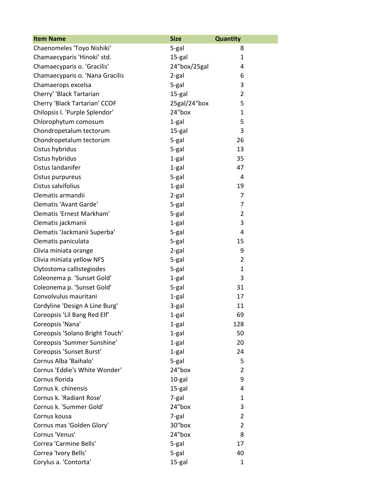| <b>Item Name</b>                | <b>Size</b>  | <b>Quantity</b> |
|---------------------------------|--------------|-----------------|
| Chaenomeles 'Toyo Nishiki'      | 5-gal        | 8               |
| Chamaecyparis 'Hinoki' std.     | 15-gal       | 1               |
| Chamaecyparis o. 'Gracilis'     | 24"box/25gal | 4               |
| Chamaecyparis o. 'Nana Gracilis | 2-gal        | 6               |
| Chamaerops excelsa              | 5-gal        | 3               |
| Cherry' 'Black Tartarian        | 15-gal       | $\overline{2}$  |
| Cherry 'Black Tartarian' CCOF   | 25gal/24"box | 5               |
| Chilopsis I. 'Purple Splendor'  | 24"box       | $\mathbf{1}$    |
| Chlorophytum comosum            | 1-gal        | 5               |
| Chondropetalum tectorum         | 15-gal       | 3               |
| Chondropetalum tectorum         | 5-gal        | 26              |
| Cistus hybridus                 | 5-gal        | 13              |
| Cistus hybridus                 | 1-gal        | 35              |
| Cistus landanifer               | 1-gal        | 47              |
| Cistus purpureus                | 5-gal        | 4               |
| Cistus salvifolius              | 1-gal        | 19              |
| Clematis armandii               | $2-gal$      | $\overline{7}$  |
| Clematis 'Avant Garde'          | 5-gal        | 7               |
| Clematis 'Ernest Markham'       | 5-gal        | $\overline{2}$  |
| Clematis jackmanii              | 1-gal        | 3               |
| Clematis 'Jackmanii Superba'    | 5-gal        | 4               |
| Clematis paniculata             | 5-gal        | 15              |
| Clivia miniata orange           | 2-gal        | 9               |
| Clivia miniata yellow NFS       | 5-gal        | $\overline{2}$  |
| Clytostoma callistegiodes       | 5-gal        | $\mathbf{1}$    |
| Coleonema p. 'Sunset Gold'      | 1-gal        | 3               |
| Coleonema p. 'Sunset Gold'      | 5-gal        | 31              |
| Convolvulus mauritani           | 1-gal        | 17              |
| Cordyline 'Design A Line Burg'  | 3-gal        | 11              |
| Coreopsis 'Lil Bang Red Elf'    | 1-gal        | 69              |
| Coreopsis 'Nana'                | 1-gal        | 128             |
| Coreopsis 'Solano Bright Touch' | 1-gal        | 50              |
| Coreopsis 'Summer Sunshine'     | 1-gal        | 20              |
| Coreopsis 'Sunset Burst'        | 1-gal        | 24              |
| Cornus Alba 'Baihalo'           | 5-gal        | 5               |
| Cornus 'Eddie's White Wonder'   | 24"box       | 2               |
| Cornus florida                  | 10-gal       | 9               |
| Cornus k. chinensis             | 15-gal       | 4               |
| Cornus k. 'Radiant Rose'        | 7-gal        | 1               |
| Cornus k. 'Summer Gold'         | 24"box       | 3               |
| Cornus kousa                    | 7-gal        | $\overline{2}$  |
| Cornus mas 'Golden Glory'       | 30"box       | 2               |
| Cornus 'Venus'                  | 24"box       | 8               |
| Correa 'Carmine Bells'          | 5-gal        | 17              |
| Correa 'Ivory Bells'            | 5-gal        | 40              |
| Corylus a. 'Contorta'           | 15-gal       | $\mathbf{1}$    |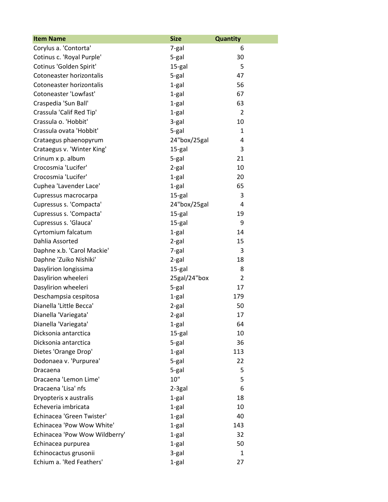| <b>Item Name</b>              | <b>Size</b>  | Quantity       |
|-------------------------------|--------------|----------------|
| Corylus a. 'Contorta'         | 7-gal        | 6              |
| Cotinus c. 'Royal Purple'     | 5-gal        | 30             |
| Cotinus 'Golden Spirit'       | 15-gal       | 5              |
| Cotoneaster horizontalis      | 5-gal        | 47             |
| Cotoneaster horizontalis      | 1-gal        | 56             |
| Cotoneaster 'Lowfast'         | $1-gal$      | 67             |
| Craspedia 'Sun Ball'          | 1-gal        | 63             |
| Crassula 'Calif Red Tip'      | 1-gal        | $\overline{2}$ |
| Crassula o. 'Hobbit'          | 3-gal        | 10             |
| Crassula ovata 'Hobbit'       | 5-gal        | 1              |
| Crataegus phaenopyrum         | 24"box/25gal | 4              |
| Crataegus v. 'Winter King'    | 15-gal       | 3              |
| Crinum x p. album             | 5-gal        | 21             |
| Crocosmia 'Lucifer'           | 2-gal        | 10             |
| Crocosmia 'Lucifer'           | 1-gal        | 20             |
| Cuphea 'Lavender Lace'        | 1-gal        | 65             |
| Cupressus macrocarpa          | 15-gal       | 3              |
| Cupressus s. 'Compacta'       | 24"box/25gal | 4              |
| Cupressus s. 'Compacta'       | 15-gal       | 19             |
| Cupressus s. 'Glauca'         | 15-gal       | 9              |
| Cyrtomium falcatum            | 1-gal        | 14             |
| Dahlia Assorted               | 2-gal        | 15             |
| Daphne x.b. 'Carol Mackie'    | 7-gal        | 3              |
| Daphne 'Zuiko Nishiki'        | 2-gal        | 18             |
| Dasylirion longissima         | 15-gal       | 8              |
| Dasylirion wheeleri           | 25gal/24"box | $\overline{2}$ |
| Dasylirion wheeleri           | 5-gal        | 17             |
| Deschampsia cespitosa         | 1-gal        | 179            |
| Dianella 'Little Becca'       | 2-gal        | 50             |
| Dianella 'Variegata'          | 2-gal        | 17             |
| Dianella 'Variegata'          | 1-gal        | 64             |
| Dicksonia antarctica          | 15-gal       | 10             |
| Dicksonia antarctica          | 5-gal        | 36             |
| Dietes 'Orange Drop'          | 1-gal        | 113            |
| Dodonaea v. 'Purpurea'        | 5-gal        | 22             |
| Dracaena                      | 5-gal        | 5              |
| Dracaena 'Lemon Lime'         | 10"          | 5              |
| Dracaena 'Lisa' nfs           | 2-3gal       | 6              |
| Dryopteris x australis        | 1-gal        | 18             |
| Echeveria imbricata           | 1-gal        | 10             |
| Echinacea 'Green Twister'     | 1-gal        | 40             |
| Echinacea 'Pow Wow White'     | 1-gal        | 143            |
| Echinacea 'Pow Wow Wildberry' | 1-gal        | 32             |
| Echinacea purpurea            | 1-gal        | 50             |
| Echinocactus grusonii         | 3-gal        | 1              |
| Echium a. 'Red Feathers'      | 1-gal        | 27             |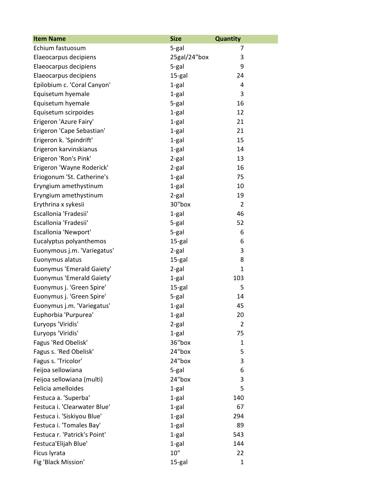| <b>Item Name</b>             | <b>Size</b>  | <b>Quantity</b> |
|------------------------------|--------------|-----------------|
| Echium fastuosum             | 5-gal        | 7               |
| Elaeocarpus decipiens        | 25gal/24"box | 3               |
| Elaeocarpus decipiens        | 5-gal        | 9               |
| Elaeocarpus decipiens        | 15-gal       | 24              |
| Epilobium c. 'Coral Canyon'  | 1-gal        | 4               |
| Equisetum hyemale            | $1-gal$      | 3               |
| Equisetum hyemale            | 5-gal        | 16              |
| Equisetum scirpoides         | 1-gal        | 12              |
| Erigeron 'Azure Fairy'       | 1-gal        | 21              |
| Erigeron 'Cape Sebastian'    | $1-gal$      | 21              |
| Erigeron k. 'Spindrift'      | 1-gal        | 15              |
| Erigeron karvinskianus       | $1-gal$      | 14              |
| Erigeron 'Ron's Pink'        | 2-gal        | 13              |
| Erigeron 'Wayne Roderick'    | 2-gal        | 16              |
| Eriogonum 'St. Catherine's   | 1-gal        | 75              |
| Eryngium amethystinum        | 1-gal        | 10              |
| Eryngium amethystinum        | $2-gal$      | 19              |
| Erythrina x sykesii          | 30"box       | $\overline{2}$  |
| Escallonia 'Fradesii'        | 1-gal        | 46              |
| Escallonia 'Fradesii'        | 5-gal        | 52              |
| Escallonia 'Newport'         | 5-gal        | 6               |
| Eucalyptus polyanthemos      | 15-gal       | 6               |
| Euonymous j.m. 'Variegatus'  | $2-gal$      | 3               |
| Euonymus alatus              | 15-gal       | 8               |
| Euonymus 'Emerald Gaiety'    | $2-gal$      | $\mathbf{1}$    |
| Euonymus 'Emerald Gaiety'    | 1-gal        | 103             |
| Euonymus j. 'Green Spire'    | 15-gal       | 5               |
| Euonymus j. 'Green Spire'    | 5-gal        | 14              |
| Euonymus j.m. 'Variegatus'   | $1-gal$      | 45              |
| Euphorbia 'Purpurea'         | 1-gal        | 20              |
| Euryops 'Viridis'            | 2-gal        | $\overline{2}$  |
| Euryops 'Viridis'            | 1-gal        | 75              |
| Fagus 'Red Obelisk'          | 36"box       | 1               |
| Fagus s. 'Red Obelisk'       | 24"box       | 5               |
| Fagus s. 'Tricolor'          | 24"box       | 3               |
| Feijoa sellowiana            | 5-gal        | 6               |
| Feijoa sellowiana (multi)    | 24"box       | 3               |
| Felicia amelloides           | 1-gal        | 5               |
| Festuca a. 'Superba'         | 1-gal        | 140             |
| Festuca i. 'Clearwater Blue' | 1-gal        | 67              |
| Festuca i. 'Siskiyou Blue'   | 1-gal        | 294             |
| Festuca i. 'Tomales Bay'     | 1-gal        | 89              |
| Festuca r. 'Patrick's Point' | 1-gal        | 543             |
| Festuca'Elijah Blue'         | 1-gal        | 144             |
| Ficus lyrata                 | 10"          | 22              |
| Fig 'Black Mission'          | 15-gal       | $\mathbf{1}$    |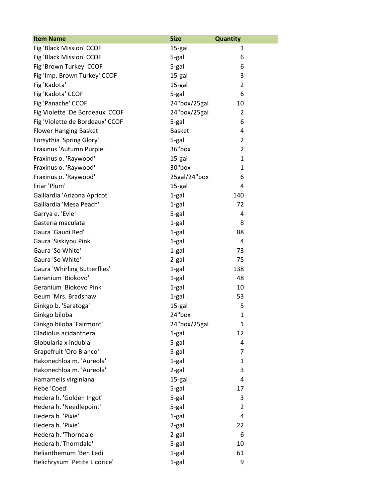| <b>Item Name</b>                    | <b>Size</b>   | <b>Quantity</b> |
|-------------------------------------|---------------|-----------------|
| Fig 'Black Mission' CCOF            | 15-gal        | 1               |
| Fig 'Black Mission' CCOF            | 5-gal         | 6               |
| Fig 'Brown Turkey' CCOF             | 5-gal         | 6               |
| Fig 'Imp. Brown Turkey' CCOF        | 15-gal        | 3               |
| Fig 'Kadota'                        | 15-gal        | $\overline{2}$  |
| Fig 'Kadota' CCOF                   | 5-gal         | 6               |
| Fig 'Panache' CCOF                  | 24"box/25gal  | 10              |
| Fig Violette 'De Bordeaux' CCOF     | 24"box/25gal  | $\overline{2}$  |
| Fig 'Violette de Bordeaux' CCOF     | 5-gal         | 6               |
| <b>Flower Hanging Basket</b>        | <b>Basket</b> | 4               |
| Forsythia 'Spring Glory'            | 5-gal         | $\overline{2}$  |
| Fraxinus 'Autumn Purple'            | 36"box        | $\overline{2}$  |
| Fraxinus o. 'Raywood'               | 15-gal        | 1               |
| Fraxinus o. 'Raywood'               | 30"box        | $\mathbf{1}$    |
| Fraxinus o. 'Raywood'               | 25gal/24"box  | 6               |
| Friar 'Plum'                        | 15-gal        | 4               |
| Gaillardia 'Arizona Apricot'        | 1-gal         | 140             |
| Gaillardia 'Mesa Peach'             | 1-gal         | 72              |
| Garrya e. 'Evie'                    | 5-gal         | 4               |
| Gasteria maculata                   | 1-gal         | 8               |
| Gaura 'Gaudi Red'                   | 1-gal         | 88              |
| Gaura 'Siskiyou Pink'               | 1-gal         | 4               |
| Gaura 'So White'                    | 1-gal         | 73              |
| Gaura 'So White'                    | 2-gal         | 75              |
| <b>Gaura 'Whirling Butterflies'</b> | 1-gal         | 138             |
| Geranium 'Biokovo'                  | 1-gal         | 48              |
| Geranium 'Biokovo Pink'             | 1-gal         | 10              |
| Geum 'Mrs. Bradshaw'                | 1-gal         | 53              |
| Ginkgo b. 'Saratoga'                | 15-gal        | 5               |
| Ginkgo biloba                       | 24"box        | 1               |
| Ginkgo biloba 'Fairmont'            | 24"box/25gal  | 1               |
| Gladiolus acidanthera               | 1-gal         | 12              |
| Globularia x indubia                | 5-gal         | 4               |
| Grapefruit 'Oro Blanco'             | 5-gal         | 7               |
| Hakonechloa m. 'Aureola'            | $1-gal$       | 1               |
| Hakonechloa m. 'Aureola'            | $2-gal$       | 3               |
| Hamamelis virginiana                | 15-gal        | 4               |
| Hebe 'Coed'                         | 5-gal         | 17              |
| Hedera h. 'Golden Ingot'            | 5-gal         | 3               |
| Hedera h. 'Needlepoint'             | 5-gal         | 2               |
| Hedera h. 'Pixie'                   | 1-gal         | 4               |
| Hedera h. 'Pixie'                   | 2-gal         | 22              |
| Hedera h. 'Thorndale'               | 2-gal         | 6               |
| Hedera h.'Thorndale'                | 5-gal         | 10              |
| Helianthemum 'Ben Ledi'             | 1-gal         | 61              |
| Helichrysum 'Petite Licorice'       | 1-gal         | 9               |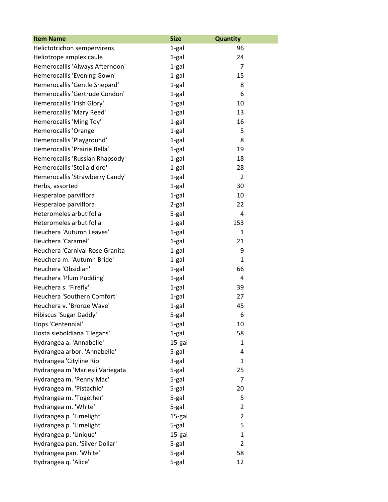| <b>Item Name</b>                | <b>Size</b> | <b>Quantity</b> |
|---------------------------------|-------------|-----------------|
| Helictotrichon sempervirens     | 1-gal       | 96              |
| Heliotrope amplexicaule         | 1-gal       | 24              |
| Hemerocallis 'Always Afternoon' | $1-gal$     | $\overline{7}$  |
| Hemerocallis 'Evening Gown'     | 1-gal       | 15              |
| Hemerocallis 'Gentle Shepard'   | 1-gal       | 8               |
| Hemerocallis 'Gertrude Condon'  | 1-gal       | 6               |
| Hemerocallis 'Irish Glory'      | 1-gal       | 10              |
| Hemerocallis 'Mary Reed'        | 1-gal       | 13              |
| Hemerocallis 'Ming Toy'         | $1-gal$     | 16              |
| Hemerocallis 'Orange'           | 1-gal       | 5               |
| Hemerocallis 'Playground'       | 1-gal       | 8               |
| Hemerocallis 'Prairie Bella'    | 1-gal       | 19              |
| Hemerocallis 'Russian Rhapsody' | 1-gal       | 18              |
| Hemerocallis 'Stella d'oro'     | 1-gal       | 28              |
| Hemerocallis 'Strawberry Candy' | 1-gal       | $\overline{2}$  |
| Herbs, assorted                 | 1-gal       | 30              |
| Hesperaloe parviflora           | $1-gal$     | 10              |
| Hesperaloe parviflora           | 2-gal       | 22              |
| Heteromeles arbutifolia         | 5-gal       | 4               |
| Heteromeles arbutifolia         | $1-gal$     | 153             |
| Heuchera 'Autumn Leaves'        | $1-gal$     | 1               |
| Heuchera 'Caramel'              | 1-gal       | 21              |
| Heuchera 'Carnival Rose Granita | 1-gal       | 9               |
| Heuchera m. 'Autumn Bride'      | 1-gal       | 1               |
| Heuchera 'Obsidian'             | 1-gal       | 66              |
| Heuchera 'Plum Pudding'         | 1-gal       | 4               |
| Heuchera s. 'Firefly'           | $1-gal$     | 39              |
| Heuchera 'Southern Comfort'     | $1-gal$     | 27              |
| Heuchera v. 'Bronze Wave'       | 1-gal       | 45              |
| Hibiscus 'Sugar Daddy'          | 5-gal       | 6               |
| Hops 'Centennial'               | 5-gal       | 10              |
| Hosta sieboldiana 'Elegans'     | 1-gal       | 58              |
| Hydrangea a. 'Annabelle'        | 15-gal      | $\mathbf{1}$    |
| Hydrangea arbor. 'Annabelle'    | 5-gal       | 4               |
| Hydrangea 'Cityline Rio'        | 3-gal       | 1               |
| Hydrangea m 'Mariesii Variegata | 5-gal       | 25              |
| Hydrangea m. 'Penny Mac'        | 5-gal       | 7               |
| Hydrangea m. 'Pistachio'        | 5-gal       | 20              |
| Hydrangea m. 'Together'         | 5-gal       | 5               |
| Hydrangea m. 'White'            | 5-gal       | $\overline{2}$  |
| Hydrangea p. 'Limelight'        | 15-gal      | $\overline{2}$  |
| Hydrangea p. 'Limelight'        | 5-gal       | 5               |
| Hydrangea p. 'Unique'           | 15-gal      | $\mathbf{1}$    |
| Hydrangea pan. 'Silver Dollar'  | 5-gal       | $\overline{2}$  |
| Hydrangea pan. 'White'          | 5-gal       | 58              |
| Hydrangea q. 'Alice'            | 5-gal       | 12              |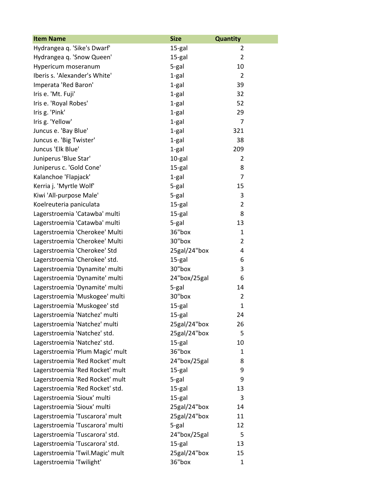| <b>Item Name</b>                | <b>Size</b>  | <b>Quantity</b> |
|---------------------------------|--------------|-----------------|
| Hydrangea q. 'Sike's Dwarf'     | 15-gal       | 2               |
| Hydrangea q. 'Snow Queen'       | 15-gal       | $\overline{2}$  |
| Hypericum moseranum             | 5-gal        | 10              |
| Iberis s. 'Alexander's White'   | $1-gal$      | $\overline{2}$  |
| Imperata 'Red Baron'            | $1-gal$      | 39              |
| Iris e. 'Mt. Fuji'              | $1-gal$      | 32              |
| Iris e. 'Royal Robes'           | $1-gal$      | 52              |
| Iris g. 'Pink'                  | $1-gal$      | 29              |
| Iris g. 'Yellow'                | $1-gal$      | $\overline{7}$  |
| Juncus e. 'Bay Blue'            | $1-gal$      | 321             |
| Juncus e. 'Big Twister'         | 1-gal        | 38              |
| Juncus 'Elk Blue'               | 1-gal        | 209             |
| Juniperus 'Blue Star'           | 10-gal       | 2               |
| Juniperus c. 'Gold Cone'        | 15-gal       | 8               |
| Kalanchoe 'Flapjack'            | 1-gal        | $\overline{7}$  |
| Kerria j. 'Myrtle Wolf'         | 5-gal        | 15              |
| Kiwi 'All-purpose Male'         | 5-gal        | 3               |
| Koelreuteria paniculata         | 15-gal       | $\overline{2}$  |
| Lagerstroemia 'Catawba' multi   | 15-gal       | 8               |
| Lagerstroemia 'Catawba' multi   | 5-gal        | 13              |
| Lagerstroemia 'Cherokee' Multi  | 36"box       | 1               |
| Lagerstroemia 'Cherokee' Multi  | 30"box       | 2               |
| Lagerstroemia 'Cherokee' Std    | 25gal/24"box | 4               |
| Lagerstroemia 'Cherokee' std.   | 15-gal       | 6               |
| Lagerstroemia 'Dynamite' multi  | 30"box       | 3               |
| Lagerstroemia 'Dynamite' multi  | 24"box/25gal | 6               |
| Lagerstroemia 'Dynamite' multi  | 5-gal        | 14              |
| Lagerstroemia 'Muskogee' multi  | 30"box       | 2               |
| Lagerstroemia 'Muskogee' std    | 15-gal       | $\mathbf{1}$    |
| Lagerstroemia 'Natchez' multi   | 15-gal       | 24              |
| Lagerstroemia 'Natchez' multi   | 25gal/24"box | 26              |
| Lagerstroemia 'Natchez' std.    | 25gal/24"box | 5               |
| Lagerstroemia 'Natchez' std.    | 15-gal       | 10              |
| Lagerstroemia 'Plum Magic' mult | 36"box       | $\mathbf{1}$    |
| Lagerstroemia 'Red Rocket' mult | 24"box/25gal | 8               |
| Lagerstroemia 'Red Rocket' mult | 15-gal       | 9               |
| Lagerstroemia 'Red Rocket' mult | 5-gal        | 9               |
| Lagerstroemia 'Red Rocket' std. | 15-gal       | 13              |
| Lagerstroemia 'Sioux' multi     | 15-gal       | 3               |
| Lagerstroemia 'Sioux' multi     | 25gal/24"box | 14              |
| Lagerstroemia 'Tuscarora' mult  | 25gal/24"box | 11              |
| Lagerstroemia 'Tuscarora' multi | 5-gal        | 12              |
| Lagerstroemia 'Tuscarora' std.  | 24"box/25gal | 5               |
| Lagerstroemia 'Tuscarora' std.  | 15-gal       | 13              |
| Lagerstroemia 'Twil.Magic' mult | 25gal/24"box | 15              |
| Lagerstroemia 'Twilight'        | 36"box       | $\mathbf{1}$    |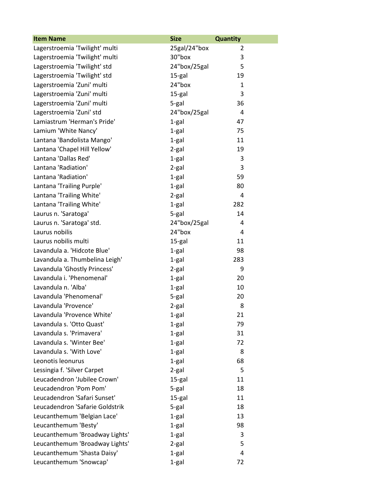| <b>Item Name</b>                | <b>Size</b>  | <b>Quantity</b> |
|---------------------------------|--------------|-----------------|
| Lagerstroemia 'Twilight' multi  | 25gal/24"box | 2               |
| Lagerstroemia 'Twilight' multi  | 30"box       | 3               |
| Lagerstroemia 'Twilight' std    | 24"box/25gal | 5               |
| Lagerstroemia 'Twilight' std    | 15-gal       | 19              |
| Lagerstroemia 'Zuni' multi      | 24"box       | $\mathbf{1}$    |
| Lagerstroemia 'Zuni' multi      | 15-gal       | 3               |
| Lagerstroemia 'Zuni' multi      | 5-gal        | 36              |
| Lagerstroemia 'Zuni' std        | 24"box/25gal | 4               |
| Lamiastrum 'Herman's Pride'     | 1-gal        | 47              |
| Lamium 'White Nancy'            | 1-gal        | 75              |
| Lantana 'Bandolista Mango'      | $1-gal$      | 11              |
| Lantana 'Chapel Hill Yellow'    | 2-gal        | 19              |
| Lantana 'Dallas Red'            | $1-gal$      | 3               |
| Lantana 'Radiation'             | 2-gal        | 3               |
| Lantana 'Radiation'             | 1-gal        | 59              |
| Lantana 'Trailing Purple'       | $1-gal$      | 80              |
| Lantana 'Trailing White'        | $2-gal$      | 4               |
| Lantana 'Trailing White'        | $1-gal$      | 282             |
| Laurus n. 'Saratoga'            | 5-gal        | 14              |
| Laurus n. 'Saratoga' std.       | 24"box/25gal | 4               |
| Laurus nobilis                  | 24"box       | 4               |
| Laurus nobilis multi            | 15-gal       | 11              |
| Lavandula a. 'Hidcote Blue'     | $1-gal$      | 98              |
| Lavandula a. Thumbelina Leigh'  | 1-gal        | 283             |
| Lavandula 'Ghostly Princess'    | $2-gal$      | 9               |
| Lavandula i. 'Phenomenal'       | 1-gal        | 20              |
| Lavandula n. 'Alba'             | 1-gal        | 10              |
| Lavandula 'Phenomenal'          | 5-gal        | 20              |
| Lavandula 'Provence'            | $2-gal$      | 8               |
| Lavandula 'Provence White'      | 1-gal        | 21              |
| Lavandula s. 'Otto Quast'       | 1-gal        | 79              |
| Lavandula s. 'Primavera'        | 1-gal        | 31              |
| Lavandula s. 'Winter Bee'       | 1-gal        | 72              |
| Lavandula s. 'With Love'        | 1-gal        | 8               |
| Leonotis leonurus               | 1-gal        | 68              |
| Lessingia f. 'Silver Carpet     | $2-gal$      | 5               |
| Leucadendron 'Jubilee Crown'    | 15-gal       | 11              |
| Leucadendron 'Pom Pom'          | 5-gal        | 18              |
| Leucadendron 'Safari Sunset'    | 15-gal       | 11              |
| Leucadendron 'Safarie Goldstrik | 5-gal        | 18              |
| Leucanthemum 'Belgian Lace'     | 1-gal        | 13              |
| Leucanthemum 'Besty'            | 1-gal        | 98              |
| Leucanthemum 'Broadway Lights'  | 1-gal        | 3               |
| Leucanthemum 'Broadway Lights'  | 2-gal        | 5               |
| Leucanthemum 'Shasta Daisy'     | 1-gal        | 4               |
| Leucanthemum 'Snowcap'          | 1-gal        | 72              |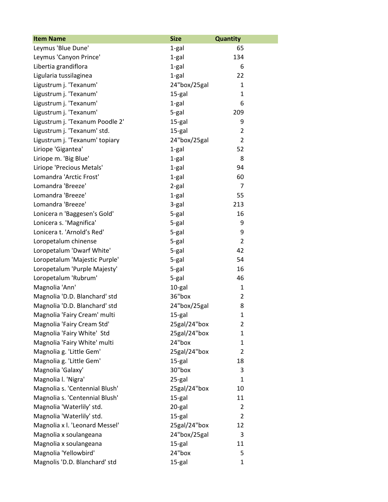| <b>Item Name</b>                | <b>Size</b>  | <b>Quantity</b> |
|---------------------------------|--------------|-----------------|
| Leymus 'Blue Dune'              | 1-gal        | 65              |
| Leymus 'Canyon Prince'          | 1-gal        | 134             |
| Libertia grandiflora            | $1-gal$      | 6               |
| Ligularia tussilaginea          | 1-gal        | 22              |
| Ligustrum j. 'Texanum'          | 24"box/25gal | 1               |
| Ligustrum j. 'Texanum'          | 15-gal       | $\mathbf{1}$    |
| Ligustrum j. 'Texanum'          | 1-gal        | 6               |
| Ligustrum j. 'Texanum'          | 5-gal        | 209             |
| Ligustrum j. 'Texanum Poodle 2' | 15-gal       | 9               |
| Ligustrum j. 'Texanum' std.     | 15-gal       | $\overline{2}$  |
| Ligustrum j. 'Texanum' topiary  | 24"box/25gal | $\overline{2}$  |
| Liriope 'Gigantea'              | $1-gal$      | 52              |
| Liriope m. 'Big Blue'           | 1-gal        | 8               |
| Liriope 'Precious Metals'       | $1-gal$      | 94              |
| Lomandra 'Arctic Frost'         | $1-gal$      | 60              |
| Lomandra 'Breeze'               | 2-gal        | $\overline{7}$  |
| Lomandra 'Breeze'               | $1-gal$      | 55              |
| Lomandra 'Breeze'               | 3-gal        | 213             |
| Lonicera n 'Baggesen's Gold'    | 5-gal        | 16              |
| Lonicera s. 'Magnifica'         | 5-gal        | 9               |
| Lonicera t. 'Arnold's Red'      | 5-gal        | 9               |
| Loropetalum chinense            | 5-gal        | $\overline{2}$  |
| Loropetalum 'Dwarf White'       | 5-gal        | 42              |
| Loropetalum 'Majestic Purple'   | 5-gal        | 54              |
| Loropetalum 'Purple Majesty'    | 5-gal        | 16              |
| Loropetalum 'Rubrum'            | 5-gal        | 46              |
| Magnolia 'Ann'                  | 10-gal       | $\mathbf{1}$    |
| Magnolia 'D.D. Blanchard' std   | 36"box       | $\overline{2}$  |
| Magnolia 'D.D. Blanchard' std   | 24"box/25gal | 8               |
| Magnolia 'Fairy Cream' multi    | 15-gal       | 1               |
| Magnolia 'Fairy Cream Std'      | 25gal/24"box | 2               |
| Magnolia 'Fairy White' Std      | 25gal/24"box | $\mathbf{1}$    |
| Magnolia 'Fairy White' multi    | 24"box       | 1               |
| Magnolia g. 'Little Gem'        | 25gal/24"box | $\overline{2}$  |
| Magnolia g. 'Little Gem'        | 15-gal       | 18              |
| Magnolia 'Galaxy'               | 30"box       | 3               |
| Magnolia I. 'Nigra'             | 25-gal       | $\mathbf{1}$    |
| Magnolia s. 'Centennial Blush'  | 25gal/24"box | 10              |
| Magnolia s. 'Centennial Blush'  | 15-gal       | 11              |
| Magnolia 'Waterlily' std.       | 20-gal       | $\overline{2}$  |
| Magnolia 'Waterlily' std.       | 15-gal       | $\overline{2}$  |
| Magnolia x I. 'Leonard Messel'  | 25gal/24"box | 12              |
| Magnolia x soulangeana          | 24"box/25gal | 3               |
| Magnolia x soulangeana          | 15-gal       | 11              |
| Magnolia 'Yellowbird'           | 24"box       | 5               |
| Magnolis 'D.D. Blanchard' std   | 15-gal       | $\mathbf{1}$    |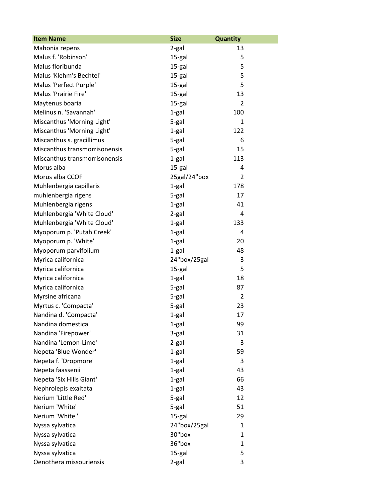| <b>Item Name</b>              | <b>Size</b>  | <b>Quantity</b> |
|-------------------------------|--------------|-----------------|
| Mahonia repens                | 2-gal        | 13              |
| Malus f. 'Robinson'           | 15-gal       | 5               |
| Malus floribunda              | 15-gal       | 5               |
| Malus 'Klehm's Bechtel'       | 15-gal       | 5               |
| Malus 'Perfect Purple'        | 15-gal       | 5               |
| Malus 'Prairie Fire'          | 15-gal       | 13              |
| Maytenus boaria               | 15-gal       | $\overline{2}$  |
| Melinus n. 'Savannah'         | $1-gal$      | 100             |
| Miscanthus 'Morning Light'    | $5-gal$      | $\mathbf{1}$    |
| Miscanthus 'Morning Light'    | 1-gal        | 122             |
| Miscanthus s. gracillimus     | 5-gal        | 6               |
| Miscanthus transmorrisonensis | 5-gal        | 15              |
| Miscanthus transmorrisonensis | $1-gal$      | 113             |
| Morus alba                    | 15-gal       | 4               |
| Morus alba CCOF               | 25gal/24"box | $\overline{2}$  |
| Muhlenbergia capillaris       | 1-gal        | 178             |
| muhlenbergia rigens           | 5-gal        | 17              |
| Muhlenbergia rigens           | 1-gal        | 41              |
| Muhlenbergia 'White Cloud'    | 2-gal        | 4               |
| Muhlenbergia 'White Cloud'    | $1-gal$      | 133             |
| Myoporum p. 'Putah Creek'     | $1-gal$      | 4               |
| Myoporum p. 'White'           | 1-gal        | 20              |
| Myoporum parvifolium          | 1-gal        | 48              |
| Myrica californica            | 24"box/25gal | 3               |
| Myrica californica            | 15-gal       | 5               |
| Myrica californica            | $1-gal$      | 18              |
| Myrica californica            | 5-gal        | 87              |
| Myrsine africana              | 5-gal        | $\overline{2}$  |
| Myrtus c. 'Compacta'          | 5-gal        | 23              |
| Nandina d. 'Compacta'         | 1-gal        | 17              |
| Nandina domestica             | 1-gal        | 99              |
| Nandina 'Firepower'           | 3-gal        | 31              |
| Nandina 'Lemon-Lime'          | 2-gal        | 3               |
| Nepeta 'Blue Wonder'          | 1-gal        | 59              |
| Nepeta f. 'Dropmore'          | 1-gal        | 3               |
| Nepeta faassenii              | 1-gal        | 43              |
| Nepeta 'Six Hills Giant'      | 1-gal        | 66              |
| Nephrolepis exaltata          | 1-gal        | 43              |
| Nerium 'Little Red'           | 5-gal        | 12              |
| Nerium 'White'                | 5-gal        | 51              |
| Nerium 'White'                | 15-gal       | 29              |
| Nyssa sylvatica               | 24"box/25gal | 1               |
| Nyssa sylvatica               | 30"box       | 1               |
| Nyssa sylvatica               | 36"box       | 1               |
| Nyssa sylvatica               | 15-gal       | 5               |
| Oenothera missouriensis       | 2-gal        | 3               |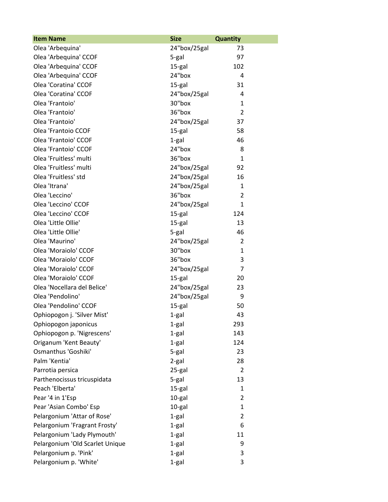| <b>Item Name</b>                | <b>Size</b>  | <b>Quantity</b> |
|---------------------------------|--------------|-----------------|
| Olea 'Arbequina'                | 24"box/25gal | 73              |
| Olea 'Arbequina' CCOF           | 5-gal        | 97              |
| Olea 'Arbequina' CCOF           | 15-gal       | 102             |
| Olea 'Arbequina' CCOF           | 24"box       | 4               |
| Olea 'Coratina' CCOF            | 15-gal       | 31              |
| Olea 'Coratina' CCOF            | 24"box/25gal | 4               |
| Olea 'Frantoio'                 | 30"box       | 1               |
| Olea 'Frantoio'                 | 36"box       | $\overline{2}$  |
| Olea 'Frantoio'                 | 24"box/25gal | 37              |
| Olea 'Frantoio CCOF             | 15-gal       | 58              |
| Olea 'Frantoio' CCOF            | 1-gal        | 46              |
| Olea 'Frantoio' CCOF            | 24"box       | 8               |
| Olea 'Fruitless' multi          | 36"box       | $\mathbf{1}$    |
| Olea 'Fruitless' multi          | 24"box/25gal | 92              |
| Olea 'Fruitless' std            | 24"box/25gal | 16              |
| Olea 'Itrana'                   | 24"box/25gal | 1               |
| Olea 'Leccino'                  | 36"box       | 2               |
| Olea 'Leccino' CCOF             | 24"box/25gal | 1               |
| Olea 'Leccino' CCOF             | 15-gal       | 124             |
| Olea 'Little Ollie'             | 15-gal       | 13              |
| Olea 'Little Ollie'             | 5-gal        | 46              |
| Olea 'Maurino'                  | 24"box/25gal | $\overline{2}$  |
| Olea 'Moraiolo' CCOF            | 30"box       | 1               |
| Olea 'Moraiolo' CCOF            | 36"box       | 3               |
| Olea 'Moraiolo' CCOF            | 24"box/25gal | $\overline{7}$  |
| Olea 'Moraiolo' CCOF            | 15-gal       | 20              |
| Olea 'Nocellara del Belice'     | 24"box/25gal | 23              |
| Olea 'Pendolino'                | 24"box/25gal | 9               |
| Olea 'Pendolino' CCOF           | 15-gal       | 50              |
| Ophiopogon j. 'Silver Mist'     | 1-gal        | 43              |
| Ophiopogon japonicus            | 1-gal        | 293             |
| Ophiopogon p. 'Nigrescens'      | 1-gal        | 143             |
| Origanum 'Kent Beauty'          | 1-gal        | 124             |
| Osmanthus 'Goshiki'             | 5-gal        | 23              |
| Palm 'Kentia'                   | 2-gal        | 28              |
| Parrotia persica                | 25-gal       | $\overline{2}$  |
| Parthenocissus tricuspidata     | 5-gal        | 13              |
| Peach 'Elberta'                 | 15-gal       | 1               |
| Pear '4 in 1'Esp                | 10-gal       | $\overline{2}$  |
| Pear 'Asian Combo' Esp          | 10-gal       | $\mathbf{1}$    |
| Pelargonium 'Attar of Rose'     | 1-gal        | $\overline{2}$  |
| Pelargonium 'Fragrant Frosty'   | 1-gal        | 6               |
| Pelargonium 'Lady Plymouth'     | 1-gal        | 11              |
| Pelargonium 'Old Scarlet Unique | 1-gal        | 9               |
| Pelargonium p. 'Pink'           | 1-gal        | 3               |
| Pelargonium p. 'White'          | 1-gal        | 3               |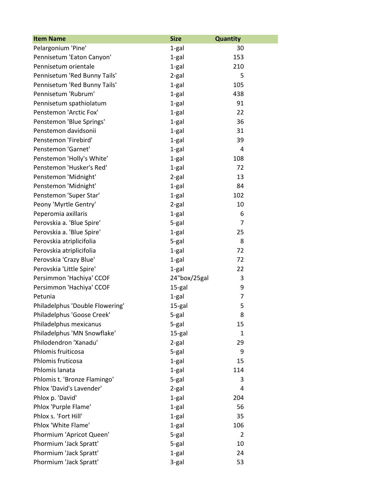| <b>Item Name</b>                | <b>Size</b>  | <b>Quantity</b> |
|---------------------------------|--------------|-----------------|
| Pelargonium 'Pine'              | 1-gal        | 30              |
| Pennisetum 'Eaton Canyon'       | 1-gal        | 153             |
| Pennisetum orientale            | $1-gal$      | 210             |
| Pennisetum 'Red Bunny Tails'    | 2-gal        | 5               |
| Pennisetum 'Red Bunny Tails'    | $1-gal$      | 105             |
| Pennisetum 'Rubrum'             | $1-gal$      | 438             |
| Pennisetum spathiolatum         | $1-gal$      | 91              |
| Penstemon 'Arctic Fox'          | $1-gal$      | 22              |
| Penstemon 'Blue Springs'        | 1-gal        | 36              |
| Penstemon davidsonii            | $1-gal$      | 31              |
| Penstemon 'Firebird'            | 1-gal        | 39              |
| Penstemon 'Garnet'              | $1-gal$      | 4               |
| Penstemon 'Holly's White'       | $1-gal$      | 108             |
| Penstemon 'Husker's Red'        | $1-gal$      | 72              |
| Penstemon 'Midnight'            | 2-gal        | 13              |
| Penstemon 'Midnight'            | $1-gal$      | 84              |
| Penstemon 'Super Star'          | $1-gal$      | 102             |
| Peony 'Myrtle Gentry'           | $2-gal$      | 10              |
| Peperomia axillaris             | 1-gal        | 6               |
| Perovskia a. 'Blue Spire'       | 5-gal        | $\overline{7}$  |
| Perovskia a. 'Blue Spire'       | $1-gal$      | 25              |
| Perovskia atriplicifolia        | 5-gal        | 8               |
| Perovskia atriplicifolia        | $1-gal$      | 72              |
| Perovskia 'Crazy Blue'          | $1-gal$      | 72              |
| Perovskia 'Little Spire'        | $1-gal$      | 22              |
| Persimmon 'Hachiya' CCOF        | 24"box/25gal | 3               |
| Persimmon 'Hachiya' CCOF        | 15-gal       | 9               |
| Petunia                         | 1-gal        | 7               |
| Philadelphus 'Double Flowering' | 15-gal       | 5               |
| Philadelphus 'Goose Creek'      | 5-gal        | 8               |
| Philadelphus mexicanus          | 5-gal        | 15              |
| Philadelphus 'MN Snowflake'     | 15-gal       | 1               |
| Philodendron 'Xanadu'           | 2-gal        | 29              |
| Phlomis fruiticosa              | 5-gal        | 9               |
| Phlomis fruticosa               | $1-gal$      | 15              |
| Phlomis lanata                  | $1-gal$      | 114             |
| Phlomis t. 'Bronze Flamingo'    | 5-gal        | 3               |
| Phlox 'David's Lavender'        | 2-gal        | 4               |
| Phlox p. 'David'                | 1-gal        | 204             |
| Phlox 'Purple Flame'            | $1-gal$      | 56              |
| Phlox s. 'Fort Hill'            | 1-gal        | 35              |
| Phlox 'White Flame'             | $1-gal$      | 106             |
| Phormium 'Apricot Queen'        | 5-gal        | $\overline{2}$  |
| Phormium 'Jack Spratt'          | 5-gal        | 10              |
| Phormium 'Jack Spratt'          | 1-gal        | 24              |
| Phormium 'Jack Spratt'          | 3-gal        | 53              |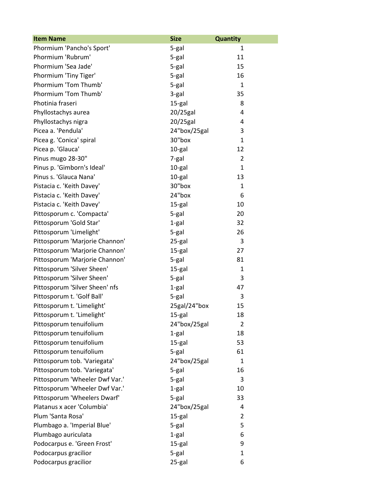| <b>Item Name</b>               | <b>Size</b>  | <b>Quantity</b> |
|--------------------------------|--------------|-----------------|
| Phormium 'Pancho's Sport'      | 5-gal        | 1               |
| Phormium 'Rubrum'              | 5-gal        | 11              |
| Phormium 'Sea Jade'            | 5-gal        | 15              |
| Phormium 'Tiny Tiger'          | 5-gal        | 16              |
| Phormium 'Tom Thumb'           | 5-gal        | 1               |
| Phormium 'Tom Thumb'           | 3-gal        | 35              |
| Photinia fraseri               | 15-gal       | 8               |
| Phyllostachys aurea            | 20/25gal     | 4               |
| Phyllostachys nigra            | $20/25$ gal  | 4               |
| Picea a. 'Pendula'             | 24"box/25gal | 3               |
| Picea g. 'Conica' spiral       | 30"box       | $\mathbf{1}$    |
| Picea p. 'Glauca'              | 10-gal       | 12              |
| Pinus mugo 28-30"              | 7-gal        | $\overline{2}$  |
| Pinus p. 'Gimborn's Ideal'     | 10-gal       | $\mathbf{1}$    |
| Pinus s. 'Glauca Nana'         | 10-gal       | 13              |
| Pistacia c. 'Keith Davey'      | 30"box       | 1               |
| Pistacia c. 'Keith Davey'      | 24"box       | 6               |
| Pistacia c. 'Keith Davey'      | 15-gal       | 10              |
| Pittosporum c. 'Compacta'      | 5-gal        | 20              |
| Pittosporum 'Gold Star'        | 1-gal        | 32              |
| Pittosporum 'Limelight'        | 5-gal        | 26              |
| Pittosporum 'Marjorie Channon' | 25-gal       | 3               |
| Pittosporum 'Marjorie Channon' | 15-gal       | 27              |
| Pittosporum 'Marjorie Channon' | 5-gal        | 81              |
| Pittosporum 'Silver Sheen'     | 15-gal       | $\mathbf{1}$    |
| Pittosporum 'Silver Sheen'     | 5-gal        | 3               |
| Pittosporum 'Silver Sheen' nfs | $1-gal$      | 47              |
| Pittosporum t. 'Golf Ball'     | 5-gal        | 3               |
| Pittosporum t. 'Limelight'     | 25gal/24"box | 15              |
| Pittosporum t. 'Limelight'     | 15-gal       | 18              |
| Pittosporum tenuifolium        | 24"box/25gal | 2               |
| Pittosporum tenuifolium        | 1-gal        | 18              |
| Pittosporum tenuifolium        | 15-gal       | 53              |
| Pittosporum tenuifolium        | 5-gal        | 61              |
| Pittosporum tob. 'Variegata'   | 24"box/25gal | $\mathbf{1}$    |
| Pittosporum tob. 'Variegata'   | 5-gal        | 16              |
| Pittosporum 'Wheeler Dwf Var.' | 5-gal        | 3               |
| Pittosporum 'Wheeler Dwf Var.' | 1-gal        | 10              |
| Pittosporum 'Wheelers Dwarf'   | 5-gal        | 33              |
| Platanus x acer 'Columbia'     | 24"box/25gal | 4               |
| Plum 'Santa Rosa'              | 15-gal       | $\overline{2}$  |
| Plumbago a. 'Imperial Blue'    | 5-gal        | 5               |
| Plumbago auriculata            | $1-gal$      | 6               |
| Podocarpus e. 'Green Frost'    | 15-gal       | 9               |
| Podocarpus gracilior           | 5-gal        | 1               |
| Podocarpus gracilior           | 25-gal       | 6               |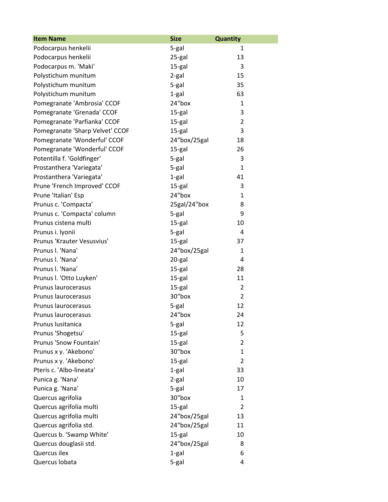| <b>Item Name</b>                | <b>Size</b>  | <b>Quantity</b> |
|---------------------------------|--------------|-----------------|
| Podocarpus henkelii             | 5-gal        | 1               |
| Podocarpus henkelii             | 25-gal       | 13              |
| Podocarpus m. 'Maki'            | 15-gal       | 3               |
| Polystichum munitum             | 2-gal        | 15              |
| Polystichum munitum             | 5-gal        | 35              |
| Polystichum munitum             | $1-gal$      | 63              |
| Pomegranate 'Ambrosia' CCOF     | 24"box       | 1               |
| Pomegranate 'Grenada' CCOF      | 15-gal       | 3               |
| Pomegranate 'Parfianka' CCOF    | 15-gal       | $\overline{2}$  |
| Pomegranate 'Sharp Velvet' CCOF | 15-gal       | 3               |
| Pomegranate 'Wonderful' CCOF    | 24"box/25gal | 18              |
| Pomegranate 'Wonderful' CCOF    | 15-gal       | 26              |
| Potentilla f. 'Goldfinger'      | 5-gal        | 3               |
| Prostanthera 'Variegata'        | 5-gal        | $\mathbf{1}$    |
| Prostanthera 'Variegata'        | 1-gal        | 41              |
| Prune 'French Improved' CCOF    | 15-gal       | 3               |
| Prune 'Italian' Esp             | 24"box       | $\mathbf{1}$    |
| Prunus c. 'Compacta'            | 25gal/24"box | 8               |
| Prunus c. 'Compacta' column     | $5-gal$      | 9               |
| Prunus cistena multi            | 15-gal       | 10              |
| Prunus i. lyonii                | 5-gal        | 4               |
| Prunus 'Krauter Vesusvius'      | 15-gal       | 37              |
| Prunus I. 'Nana'                | 24"box/25gal | 1               |
| Prunus I. 'Nana'                | 20-gal       | 4               |
| Prunus I. 'Nana'                | 15-gal       | 28              |
| Prunus I. 'Otto Luyken'         | 15-gal       | 11              |
| Prunus laurocerasus             | 15-gal       | 2               |
| Prunus laurocerasus             | 30"box       | $\overline{2}$  |
| Prunus laurocerasus             | 5-gal        | 12              |
| Prunus laurocerasus             | 24"box       | 24              |
| Prunus lusitanica               | 5-gal        | 12              |
| Prunus 'Shogetsu'               | 15-gal       | 5               |
| Prunus 'Snow Fountain'          | 15-gal       | $\overline{2}$  |
| Prunus x y. 'Akebono'           | 30"box       | $\mathbf{1}$    |
| Prunus x y. 'Akebono'           | 15-gal       | $\overline{2}$  |
| Pteris c. 'Albo-lineata'        | 1-gal        | 33              |
| Punica g. 'Nana'                | $2-gal$      | 10              |
| Punica g. 'Nana'                | 5-gal        | 17              |
| Quercus agrifolia               | 30"box       | 1               |
| Quercus agrifolia multi         | 15-gal       | $\overline{2}$  |
| Quercus agrifolia multi         | 24"box/25gal | 13              |
| Quercus agrifolia std.          | 24"box/25gal | 11              |
| Quercus b. 'Swamp White'        | 15-gal       | 10              |
| Quercus douglasii std.          | 24"box/25gal | 8               |
| Quercus ilex                    | 1-gal        | 6               |
| Quercus Iobata                  | 5-gal        | 4               |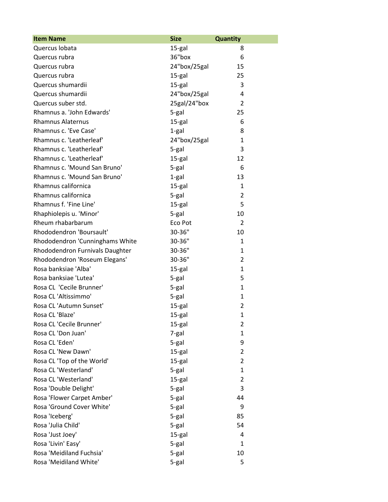| <b>Item Name</b>                | <b>Size</b>  | <b>Quantity</b> |
|---------------------------------|--------------|-----------------|
| Quercus Iobata                  | 15-gal       | 8               |
| Quercus rubra                   | 36"box       | 6               |
| Quercus rubra                   | 24"box/25gal | 15              |
| Quercus rubra                   | 15-gal       | 25              |
| Quercus shumardii               | 15-gal       | 3               |
| Quercus shumardii               | 24"box/25gal | 4               |
| Quercus suber std.              | 25gal/24"box | $\overline{2}$  |
| Rhamnus a. 'John Edwards'       | 5-gal        | 25              |
| <b>Rhamnus Alaternus</b>        | 15-gal       | 6               |
| Rhamnus c. 'Eve Case'           | 1-gal        | 8               |
| Rhamnus c. 'Leatherleaf'        | 24"box/25gal | $\mathbf{1}$    |
| Rhamnus c. 'Leatherleaf'        | 5-gal        | 3               |
| Rhamnus c. 'Leatherleaf'        | 15-gal       | 12              |
| Rhamnus c. 'Mound San Bruno'    | 5-gal        | 6               |
| Rhamnus c. 'Mound San Bruno'    | 1-gal        | 13              |
| Rhamnus californica             | 15-gal       | $\mathbf{1}$    |
| Rhamnus californica             | 5-gal        | 2               |
| Rhamnus f. 'Fine Line'          | 15-gal       | 5               |
| Rhaphiolepis u. 'Minor'         | 5-gal        | 10              |
| Rheum rhabarbarum               | Eco Pot      | 2               |
| Rhododendron 'Boursault'        | 30-36"       | 10              |
| Rhododendron 'Cunninghams White | 30-36"       | 1               |
| Rhododendron Furnivals Daughter | 30-36"       | $\mathbf{1}$    |
| Rhododendron 'Roseum Elegans'   | 30-36"       | $\overline{2}$  |
| Rosa banksiae 'Alba'            | 15-gal       | $\mathbf{1}$    |
| Rosa banksiae 'Lutea'           | 5-gal        | 5               |
| Rosa CL 'Cecile Brunner'        | 5-gal        | $\mathbf{1}$    |
| Rosa CL 'Altissimmo'            | 5-gal        | $\mathbf{1}$    |
| Rosa CL 'Autumn Sunset'         | 15-gal       | $\overline{2}$  |
| Rosa CL 'Blaze'                 | 15-gal       | 1               |
| Rosa CL 'Cecile Brunner'        | 15-gal       | $\overline{2}$  |
| Rosa CL 'Don Juan'              | 7-gal        | $\mathbf{1}$    |
| Rosa CL 'Eden'                  | 5-gal        | 9               |
| Rosa CL 'New Dawn'              | 15-gal       | $\overline{2}$  |
| Rosa CL 'Top of the World'      | 15-gal       | $\overline{2}$  |
| Rosa CL 'Westerland'            | 5-gal        | $\mathbf{1}$    |
| Rosa CL 'Westerland'            | 15-gal       | $\overline{2}$  |
| Rosa 'Double Delight'           | 5-gal        | 3               |
| Rosa 'Flower Carpet Amber'      | 5-gal        | 44              |
| Rosa 'Ground Cover White'       | 5-gal        | 9               |
| Rosa 'Iceberg'                  | 5-gal        | 85              |
| Rosa 'Julia Child'              | 5-gal        | 54              |
| Rosa 'Just Joey'                | 15-gal       | 4               |
| Rosa 'Livin' Easy'              | 5-gal        | $\mathbf{1}$    |
| Rosa 'Meidiland Fuchsia'        | 5-gal        | 10              |
| Rosa 'Meidiland White'          | 5-gal        | 5               |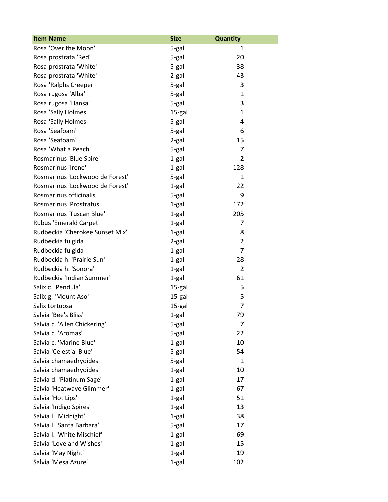| <b>Item Name</b>                | <b>Size</b> | <b>Quantity</b> |
|---------------------------------|-------------|-----------------|
| Rosa 'Over the Moon'            | 5-gal       | 1               |
| Rosa prostrata 'Red'            | 5-gal       | 20              |
| Rosa prostrata 'White'          | 5-gal       | 38              |
| Rosa prostrata 'White'          | 2-gal       | 43              |
| Rosa 'Ralphs Creeper'           | 5-gal       | 3               |
| Rosa rugosa 'Alba'              | 5-gal       | 1               |
| Rosa rugosa 'Hansa'             | 5-gal       | 3               |
| Rosa 'Sally Holmes'             | 15-gal      | $\mathbf{1}$    |
| Rosa 'Sally Holmes'             | 5-gal       | 4               |
| Rosa 'Seafoam'                  | 5-gal       | 6               |
| Rosa 'Seafoam'                  | 2-gal       | 15              |
| Rosa 'What a Peach'             | 5-gal       | $\overline{7}$  |
| Rosmarinus 'Blue Spire'         | $1-gal$     | 2               |
| Rosmarinus 'Irene'              | $1-gal$     | 128             |
| Rosmarinus 'Lockwood de Forest' | 5-gal       | $\mathbf{1}$    |
| Rosmarinus 'Lockwood de Forest' | 1-gal       | 22              |
| Rosmarinus officinalis          | 5-gal       | 9               |
| Rosmarinus 'Prostratus'         | $1-gal$     | 172             |
| Rosmarinus 'Tuscan Blue'        | 1-gal       | 205             |
| Rubus 'Emerald Carpet'          | 1-gal       | 7               |
| Rudbeckia 'Cherokee Sunset Mix' | 1-gal       | 8               |
| Rudbeckia fulgida               | 2-gal       | 2               |
| Rudbeckia fulgida               | 1-gal       | $\overline{7}$  |
| Rudbeckia h. 'Prairie Sun'      | 1-gal       | 28              |
| Rudbeckia h. 'Sonora'           | 1-gal       | $\overline{2}$  |
| Rudbeckia 'Indian Summer'       | 1-gal       | 61              |
| Salix c. 'Pendula'              | 15-gal      | 5               |
| Salix g. 'Mount Aso'            | 15-gal      | 5               |
| Salix tortuosa                  | 15-gal      | 7               |
| Salvia 'Bee's Bliss'            | 1-gal       | 79              |
| Salvia c. 'Allen Chickering'    | 5-gal       | 7               |
| Salvia c. 'Aromas'              | 5-gal       | 22              |
| Salvia c. 'Marine Blue'         | 1-gal       | 10              |
| Salvia 'Celestial Blue'         | 5-gal       | 54              |
| Salvia chamaedryoides           | 5-gal       | 1               |
| Salvia chamaedryoides           | 1-gal       | 10              |
| Salvia d. 'Platinum Sage'       | 1-gal       | 17              |
| Salvia 'Heatwave Glimmer'       | 1-gal       | 67              |
| Salvia 'Hot Lips'               | 1-gal       | 51              |
| Salvia 'Indigo Spires'          | 1-gal       | 13              |
| Salvia I. 'Midnight'            | 1-gal       | 38              |
| Salvia I. 'Santa Barbara'       | 5-gal       | 17              |
| Salvia I. 'White Mischief'      | 1-gal       | 69              |
| Salvia 'Love and Wishes'        | 1-gal       | 15              |
| Salvia 'May Night'              | 1-gal       | 19              |
| Salvia 'Mesa Azure'             | 1-gal       | 102             |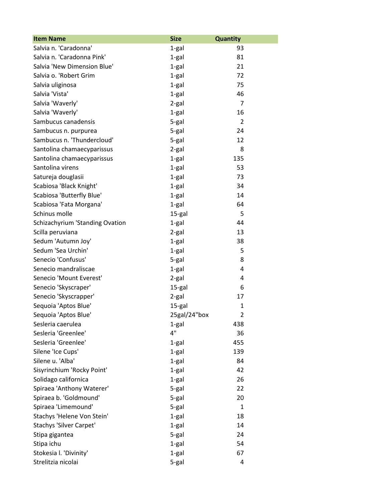| <b>Item Name</b>                | <b>Size</b>  | Quantity       |
|---------------------------------|--------------|----------------|
| Salvia n. 'Caradonna'           | 1-gal        | 93             |
| Salvia n. 'Caradonna Pink'      | 1-gal        | 81             |
| Salvia 'New Dimension Blue'     | $1-gal$      | 21             |
| Salvia o. 'Robert Grim          | 1-gal        | 72             |
| Salvia uliginosa                | $1-gal$      | 75             |
| Salvia 'Vista'                  | $1-gal$      | 46             |
| Salvia 'Waverly'                | $2-gal$      | $\overline{7}$ |
| Salvia 'Waverly'                | 1-gal        | 16             |
| Sambucus canadensis             | 5-gal        | $\overline{2}$ |
| Sambucus n. purpurea            | 5-gal        | 24             |
| Sambucus n. 'Thundercloud'      | 5-gal        | 12             |
| Santolina chamaecyparissus      | 2-gal        | 8              |
| Santolina chamaecyparissus      | $1-gal$      | 135            |
| Santolina virens                | $1-gal$      | 53             |
| Satureja douglasii              | 1-gal        | 73             |
| Scabiosa 'Black Knight'         | 1-gal        | 34             |
| Scabiosa 'Butterfly Blue'       | 1-gal        | 14             |
| Scabiosa 'Fata Morgana'         | $1-gal$      | 64             |
| Schinus molle                   | 15-gal       | 5              |
| Schizachyrium 'Standing Ovation | 1-gal        | 44             |
| Scilla peruviana                | 2-gal        | 13             |
| Sedum 'Autumn Joy'              | 1-gal        | 38             |
| Sedum 'Sea Urchin'              | 1-gal        | 5              |
| Senecio 'Confusus'              | 5-gal        | 8              |
| Senecio mandraliscae            | $1-gal$      | 4              |
| Senecio 'Mount Everest'         | 2-gal        | 4              |
| Senecio 'Skyscraper'            | 15-gal       | 6              |
| Senecio 'Skyscrapper'           | 2-gal        | 17             |
| Sequoia 'Aptos Blue'            | 15-gal       | $\mathbf{1}$   |
| Sequoia 'Aptos Blue'            | 25gal/24"box | $\overline{2}$ |
| Sesleria caerulea               | 1-gal        | 438            |
| Sesleria 'Greenlee'             | 4"           | 36             |
| Sesleria 'Greenlee'             | 1-gal        | 455            |
| Silene 'Ice Cups'               | 1-gal        | 139            |
| Silene u. 'Alba'                | 1-gal        | 84             |
| Sisyrinchium 'Rocky Point'      | 1-gal        | 42             |
| Solidago californica            | 1-gal        | 26             |
| Spiraea 'Anthony Waterer'       | 5-gal        | 22             |
| Spiraea b. 'Goldmound'          | 5-gal        | 20             |
| Spiraea 'Limemound'             | 5-gal        | 1              |
| Stachys 'Helene Von Stein'      | 1-gal        | 18             |
| Stachys 'Silver Carpet'         | 1-gal        | 14             |
| Stipa gigantea                  | 5-gal        | 24             |
| Stipa ichu                      | 1-gal        | 54             |
| Stokesia I. 'Divinity'          | 1-gal        | 67             |
| Strelitzia nicolai              | 5-gal        | 4              |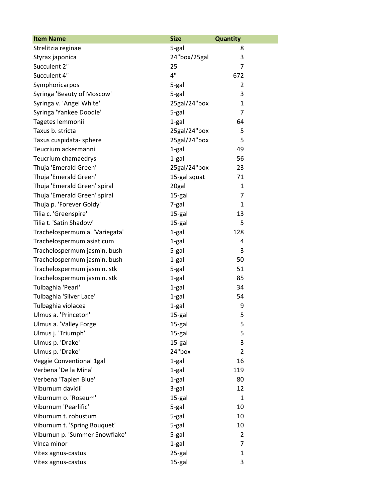| <b>Item Name</b>               | <b>Size</b>  | <b>Quantity</b> |
|--------------------------------|--------------|-----------------|
| Strelitzia reginae             | 5-gal        | 8               |
| Styrax japonica                | 24"box/25gal | 3               |
| Succulent 2"                   | 25           | $\overline{7}$  |
| Succulent 4"                   | 4"           | 672             |
| Symphoricarpos                 | 5-gal        | $\overline{2}$  |
| Syringa 'Beauty of Moscow'     | 5-gal        | 3               |
| Syringa v. 'Angel White'       | 25gal/24"box | $\mathbf{1}$    |
| Syringa 'Yankee Doodle'        | 5-gal        | $\overline{7}$  |
| Tagetes lemmonii               | 1-gal        | 64              |
| Taxus b. stricta               | 25gal/24"box | 5               |
| Taxus cuspidata- sphere        | 25gal/24"box | 5               |
| Teucrium ackermannii           | 1-gal        | 49              |
| Teucrium chamaedrys            | $1-gal$      | 56              |
| Thuja 'Emerald Green'          | 25gal/24"box | 23              |
| Thuja 'Emerald Green'          | 15-gal squat | 71              |
| Thuja 'Emerald Green' spiral   | 20gal        | 1               |
| Thuja 'Emerald Green' spiral   | 15-gal       | 7               |
| Thuja p. 'Forever Goldy'       | 7-gal        | $\mathbf{1}$    |
| Tilia c. 'Greenspire'          | 15-gal       | 13              |
| Tilia t. 'Satin Shadow'        | 15-gal       | 5               |
| Trachelospermum a. 'Variegata' | $1-gal$      | 128             |
| Trachelospermum asiaticum      | 1-gal        | 4               |
| Trachelospermum jasmin. bush   | 5-gal        | 3               |
| Trachelospermum jasmin. bush   | 1-gal        | 50              |
| Trachelospermum jasmin. stk    | 5-gal        | 51              |
| Trachelospermum jasmin. stk    | 1-gal        | 85              |
| Tulbaghia 'Pearl'              | 1-gal        | 34              |
| Tulbaghia 'Silver Lace'        | 1-gal        | 54              |
| Tulbaghia violacea             | $1-gal$      | 9               |
| Ulmus a. 'Princeton'           | 15-gal       | 5               |
| Ulmus a. 'Valley Forge'        | 15-gal       | 5               |
| Ulmus j. 'Triumph'             | 15-gal       | 5               |
| Ulmus p. 'Drake'               | 15-gal       | 3               |
| Ulmus p. 'Drake'               | 24"box       | $\overline{2}$  |
| Veggie Conventional 1gal       | 1-gal        | 16              |
| Verbena 'De la Mina'           | $1-gal$      | 119             |
| Verbena 'Tapien Blue'          | 1-gal        | 80              |
| Viburnum davidii               | 3-gal        | 12              |
| Viburnum o. 'Roseum'           | 15-gal       | $\mathbf{1}$    |
| Viburnum 'Pearlific'           | 5-gal        | 10              |
| Viburnum t. robustum           | 5-gal        | 10              |
| Viburnum t. 'Spring Bouquet'   | 5-gal        | 10              |
| Viburnun p. 'Summer Snowflake' | 5-gal        | 2               |
| Vinca minor                    | $1-gal$      | 7               |
| Vitex agnus-castus             | 25-gal       | $\mathbf{1}$    |
| Vitex agnus-castus             | 15-gal       | 3               |